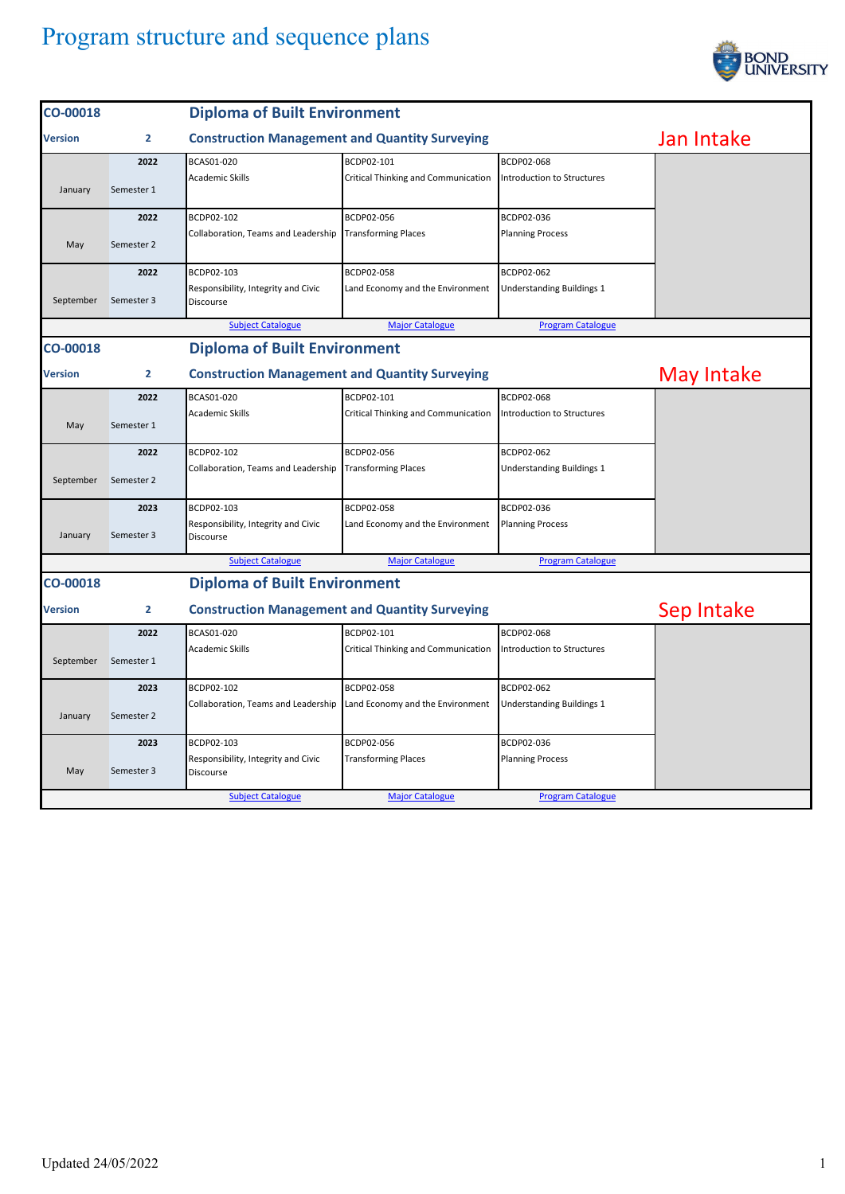

| CO-00018                                        |                | <b>Diploma of Built Environment</b>                   |                                     |                                  |            |
|-------------------------------------------------|----------------|-------------------------------------------------------|-------------------------------------|----------------------------------|------------|
| <b>Version</b>                                  | $\overline{2}$ | <b>Construction Management and Quantity Surveying</b> |                                     |                                  | Jan Intake |
|                                                 | 2022           | BCAS01-020                                            | BCDP02-101                          | BCDP02-068                       |            |
| January                                         | Semester 1     | <b>Academic Skills</b>                                | Critical Thinking and Communication | Introduction to Structures       |            |
|                                                 | 2022           | BCDP02-102                                            | BCDP02-056                          | BCDP02-036                       |            |
| May                                             | Semester 2     | Collaboration, Teams and Leadership                   | <b>Transforming Places</b>          | <b>Planning Process</b>          |            |
|                                                 | 2022           | BCDP02-103                                            | BCDP02-058                          | BCDP02-062                       |            |
| September                                       | Semester 3     | Responsibility, Integrity and Civic<br>Discourse      | Land Economy and the Environment    | <b>Understanding Buildings 1</b> |            |
|                                                 |                | <b>Subject Catalogue</b>                              | <b>Major Catalogue</b>              | <b>Program Catalogue</b>         |            |
| <b>Diploma of Built Environment</b><br>CO-00018 |                |                                                       |                                     |                                  |            |
| Version                                         | $\overline{2}$ | <b>Construction Management and Quantity Surveying</b> |                                     |                                  | May Intake |
|                                                 | 2022           | BCAS01-020                                            | BCDP02-101                          | BCDP02-068                       |            |
| May                                             | Semester 1     | <b>Academic Skills</b>                                | Critical Thinking and Communication | Introduction to Structures       |            |
|                                                 | 2022           | BCDP02-102                                            | BCDP02-056                          | BCDP02-062                       |            |
| September                                       | Semester 2     | Collaboration, Teams and Leadership                   | <b>Transforming Places</b>          | <b>Understanding Buildings 1</b> |            |
|                                                 | 2023           | BCDP02-103                                            | BCDP02-058                          | BCDP02-036                       |            |
| January                                         | Semester 3     | Responsibility, Integrity and Civic<br>Discourse      | Land Economy and the Environment    | <b>Planning Process</b>          |            |
|                                                 |                | <b>Subject Catalogue</b>                              | <b>Major Catalogue</b>              | <b>Program Catalogue</b>         |            |
| <b>Diploma of Built Environment</b><br>CO-00018 |                |                                                       |                                     |                                  |            |
| Version                                         | 2              | <b>Construction Management and Quantity Surveying</b> |                                     |                                  | Sep Intake |
|                                                 | 2022           | BCAS01-020                                            | BCDP02-101                          | BCDP02-068                       |            |
| September                                       | Semester 1     | <b>Academic Skills</b>                                | Critical Thinking and Communication | Introduction to Structures       |            |
|                                                 | 2023           | BCDP02-102                                            | BCDP02-058                          | BCDP02-062                       |            |
| January                                         | Semester 2     | Collaboration, Teams and Leadership                   | Land Economy and the Environment    | Understanding Buildings 1        |            |
|                                                 | 2023           | BCDP02-103                                            | BCDP02-056                          | BCDP02-036                       |            |
| May                                             | Semester 3     | Responsibility, Integrity and Civic<br>Discourse      | <b>Transforming Places</b>          | <b>Planning Process</b>          |            |
|                                                 |                | <b>Subject Catalogue</b>                              | <b>Major Catalogue</b>              | <b>Program Catalogue</b>         |            |